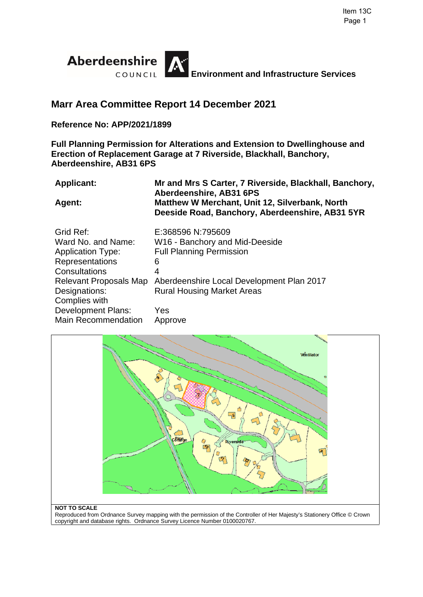

# **Marr Area Committee Report 14 December 2021**

### **Reference No: APP/2021/1899**

**Full Planning Permission for Alterations and Extension to Dwellinghouse and Erection of Replacement Garage at 7 Riverside, Blackhall, Banchory, Aberdeenshire, AB31 6PS** 

| <b>Applicant:</b>          | Mr and Mrs S Carter, 7 Riverside, Blackhall, Banchory,<br>Aberdeenshire, AB31 6PS                 |
|----------------------------|---------------------------------------------------------------------------------------------------|
| Agent:                     | Matthew W Merchant, Unit 12, Silverbank, North<br>Deeside Road, Banchory, Aberdeenshire, AB31 5YR |
| Grid Ref:                  | E:368596 N:795609                                                                                 |
| Ward No. and Name:         | W16 - Banchory and Mid-Deeside                                                                    |
| <b>Application Type:</b>   | <b>Full Planning Permission</b>                                                                   |
| Representations            | 6                                                                                                 |
| Consultations              | 4                                                                                                 |
| Relevant Proposals Map     | Aberdeenshire Local Development Plan 2017                                                         |
| Designations:              | <b>Rural Housing Market Areas</b>                                                                 |
| Complies with              |                                                                                                   |
| Development Plans:         | Yes                                                                                               |
| <b>Main Recommendation</b> | Approve                                                                                           |



#### **NOT TO SCALE**

Reproduced from Ordnance Survey mapping with the permission of the Controller of Her Majesty's Stationery Office © Crown copyright and database rights. Ordnance Survey Licence Number 0100020767.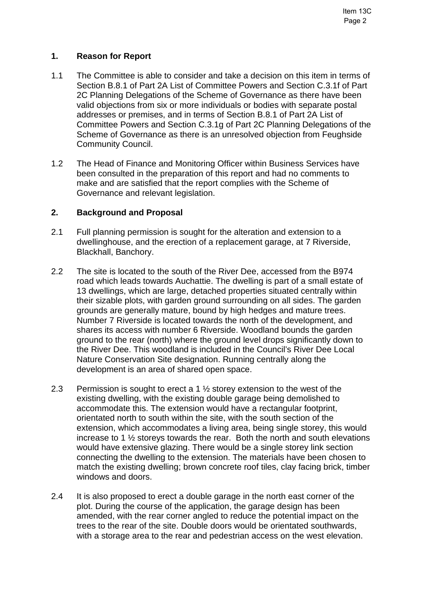## **1. Reason for Report**

- 1.1 The Committee is able to consider and take a decision on this item in terms of Section B.8.1 of Part 2A List of Committee Powers and Section C.3.1f of Part 2C Planning Delegations of the Scheme of Governance as there have been valid objections from six or more individuals or bodies with separate postal addresses or premises, and in terms of Section B.8.1 of Part 2A List of Committee Powers and Section C.3.1g of Part 2C Planning Delegations of the Scheme of Governance as there is an unresolved objection from Feughside Community Council.
- 1.2 The Head of Finance and Monitoring Officer within Business Services have been consulted in the preparation of this report and had no comments to make and are satisfied that the report complies with the Scheme of Governance and relevant legislation.

### **2. Background and Proposal**

- 2.1 Full planning permission is sought for the alteration and extension to a dwellinghouse, and the erection of a replacement garage, at 7 Riverside, Blackhall, Banchory.
- 2.2 The site is located to the south of the River Dee, accessed from the B974 road which leads towards Auchattie. The dwelling is part of a small estate of 13 dwellings, which are large, detached properties situated centrally within their sizable plots, with garden ground surrounding on all sides. The garden grounds are generally mature, bound by high hedges and mature trees. Number 7 Riverside is located towards the north of the development, and shares its access with number 6 Riverside. Woodland bounds the garden ground to the rear (north) where the ground level drops significantly down to the River Dee. This woodland is included in the Council's River Dee Local Nature Conservation Site designation. Running centrally along the development is an area of shared open space.
- 2.3 Permission is sought to erect a 1 ½ storey extension to the west of the existing dwelling, with the existing double garage being demolished to accommodate this. The extension would have a rectangular footprint, orientated north to south within the site, with the south section of the extension, which accommodates a living area, being single storey, this would increase to 1 ½ storeys towards the rear. Both the north and south elevations would have extensive glazing. There would be a single storey link section connecting the dwelling to the extension. The materials have been chosen to match the existing dwelling; brown concrete roof tiles, clay facing brick, timber windows and doors.
- 2.4 It is also proposed to erect a double garage in the north east corner of the plot. During the course of the application, the garage design has been amended, with the rear corner angled to reduce the potential impact on the trees to the rear of the site. Double doors would be orientated southwards, with a storage area to the rear and pedestrian access on the west elevation.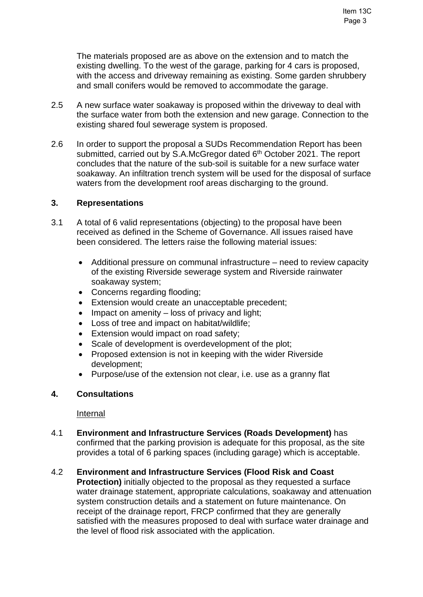The materials proposed are as above on the extension and to match the existing dwelling. To the west of the garage, parking for 4 cars is proposed, with the access and driveway remaining as existing. Some garden shrubbery and small conifers would be removed to accommodate the garage.

- 2.5 A new surface water soakaway is proposed within the driveway to deal with the surface water from both the extension and new garage. Connection to the existing shared foul sewerage system is proposed.
- 2.6 In order to support the proposal a SUDs Recommendation Report has been submitted, carried out by S.A.McGregor dated 6<sup>th</sup> October 2021. The report concludes that the nature of the sub-soil is suitable for a new surface water soakaway. An infiltration trench system will be used for the disposal of surface waters from the development roof areas discharging to the ground.

#### **3. Representations**

- 3.1 A total of 6 valid representations (objecting) to the proposal have been received as defined in the Scheme of Governance. All issues raised have been considered. The letters raise the following material issues:
	- Additional pressure on communal infrastructure need to review capacity of the existing Riverside sewerage system and Riverside rainwater soakaway system;
	- Concerns regarding flooding;
	- Extension would create an unacceptable precedent:
	- $\bullet$  Impact on amenity loss of privacy and light;
	- Loss of tree and impact on habitat/wildlife;
	- **Extension would impact on road safety;**
	- Scale of development is overdevelopment of the plot;
	- Proposed extension is not in keeping with the wider Riverside development;
	- Purpose/use of the extension not clear, i.e. use as a granny flat

#### **4. Consultations**

#### Internal

- 4.1 **Environment and Infrastructure Services (Roads Development)** has confirmed that the parking provision is adequate for this proposal, as the site provides a total of 6 parking spaces (including garage) which is acceptable.
- 4.2 **Environment and Infrastructure Services (Flood Risk and Coast Protection)** initially objected to the proposal as they requested a surface water drainage statement, appropriate calculations, soakaway and attenuation system construction details and a statement on future maintenance. On receipt of the drainage report, FRCP confirmed that they are generally satisfied with the measures proposed to deal with surface water drainage and the level of flood risk associated with the application.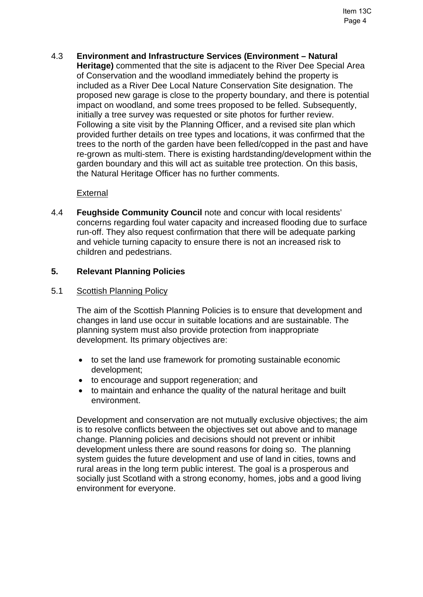## 4.3 **Environment and Infrastructure Services (Environment – Natural**

**Heritage)** commented that the site is adjacent to the River Dee Special Area of Conservation and the woodland immediately behind the property is included as a River Dee Local Nature Conservation Site designation. The proposed new garage is close to the property boundary, and there is potential impact on woodland, and some trees proposed to be felled. Subsequently, initially a tree survey was requested or site photos for further review. Following a site visit by the Planning Officer, and a revised site plan which provided further details on tree types and locations, it was confirmed that the trees to the north of the garden have been felled/copped in the past and have re-grown as multi-stem. There is existing hardstanding/development within the garden boundary and this will act as suitable tree protection. On this basis, the Natural Heritage Officer has no further comments.

### External

4.4 **Feughside Community Council** note and concur with local residents' concerns regarding foul water capacity and increased flooding due to surface run-off. They also request confirmation that there will be adequate parking and vehicle turning capacity to ensure there is not an increased risk to children and pedestrians.

### **5. Relevant Planning Policies**

#### 5.1 Scottish Planning Policy

The aim of the Scottish Planning Policies is to ensure that development and changes in land use occur in suitable locations and are sustainable. The planning system must also provide protection from inappropriate development. Its primary objectives are:

- to set the land use framework for promoting sustainable economic development;
- to encourage and support regeneration; and
- to maintain and enhance the quality of the natural heritage and built environment.

Development and conservation are not mutually exclusive objectives; the aim is to resolve conflicts between the objectives set out above and to manage change. Planning policies and decisions should not prevent or inhibit development unless there are sound reasons for doing so. The planning system guides the future development and use of land in cities, towns and rural areas in the long term public interest. The goal is a prosperous and socially just Scotland with a strong economy, homes, jobs and a good living environment for everyone.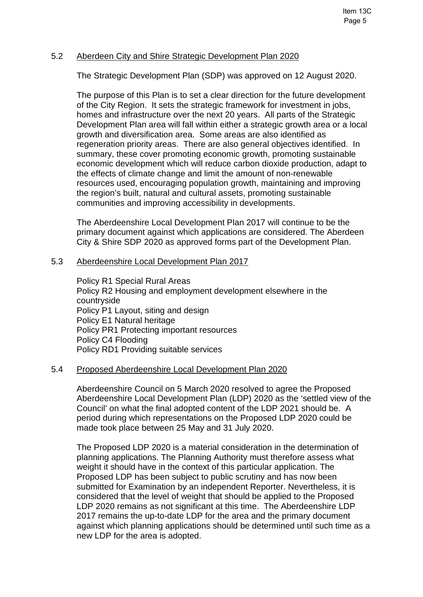#### 5.2 Aberdeen City and Shire Strategic Development Plan 2020

The Strategic Development Plan (SDP) was approved on 12 August 2020.

The purpose of this Plan is to set a clear direction for the future development of the City Region. It sets the strategic framework for investment in jobs, homes and infrastructure over the next 20 years. All parts of the Strategic Development Plan area will fall within either a strategic growth area or a local growth and diversification area. Some areas are also identified as regeneration priority areas. There are also general objectives identified. In summary, these cover promoting economic growth, promoting sustainable economic development which will reduce carbon dioxide production, adapt to the effects of climate change and limit the amount of non-renewable resources used, encouraging population growth, maintaining and improving the region's built, natural and cultural assets, promoting sustainable communities and improving accessibility in developments.

The Aberdeenshire Local Development Plan 2017 will continue to be the primary document against which applications are considered. The Aberdeen City & Shire SDP 2020 as approved forms part of the Development Plan.

#### 5.3 Aberdeenshire Local Development Plan 2017

Policy R1 Special Rural Areas Policy R2 Housing and employment development elsewhere in the countryside Policy P1 Layout, siting and design Policy E1 Natural heritage Policy PR1 Protecting important resources Policy C4 Flooding Policy RD1 Providing suitable services

#### 5.4 Proposed Aberdeenshire Local Development Plan 2020

Aberdeenshire Council on 5 March 2020 resolved to agree the Proposed Aberdeenshire Local Development Plan (LDP) 2020 as the 'settled view of the Council' on what the final adopted content of the LDP 2021 should be. A period during which representations on the Proposed LDP 2020 could be made took place between 25 May and 31 July 2020.

The Proposed LDP 2020 is a material consideration in the determination of planning applications. The Planning Authority must therefore assess what weight it should have in the context of this particular application. The Proposed LDP has been subject to public scrutiny and has now been submitted for Examination by an independent Reporter. Nevertheless, it is considered that the level of weight that should be applied to the Proposed LDP 2020 remains as not significant at this time. The Aberdeenshire LDP 2017 remains the up-to-date LDP for the area and the primary document against which planning applications should be determined until such time as a new LDP for the area is adopted.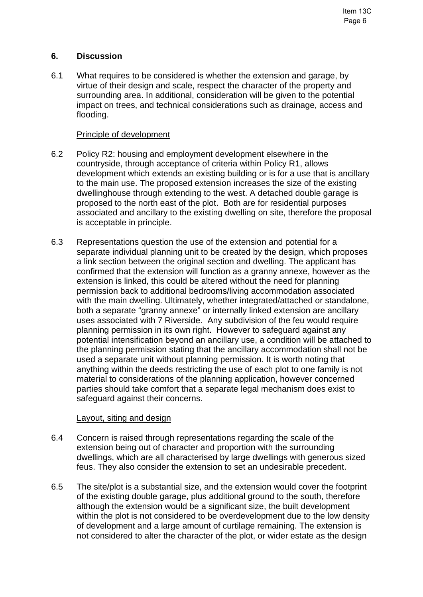## **6. Discussion**

6.1 What requires to be considered is whether the extension and garage, by virtue of their design and scale, respect the character of the property and surrounding area. In additional, consideration will be given to the potential impact on trees, and technical considerations such as drainage, access and flooding.

### Principle of development

- 6.2 Policy R2: housing and employment development elsewhere in the countryside, through acceptance of criteria within Policy R1, allows development which extends an existing building or is for a use that is ancillary to the main use. The proposed extension increases the size of the existing dwellinghouse through extending to the west. A detached double garage is proposed to the north east of the plot. Both are for residential purposes associated and ancillary to the existing dwelling on site, therefore the proposal is acceptable in principle.
- 6.3 Representations question the use of the extension and potential for a separate individual planning unit to be created by the design, which proposes a link section between the original section and dwelling. The applicant has confirmed that the extension will function as a granny annexe, however as the extension is linked, this could be altered without the need for planning permission back to additional bedrooms/living accommodation associated with the main dwelling. Ultimately, whether integrated/attached or standalone, both a separate "granny annexe" or internally linked extension are ancillary uses associated with 7 Riverside. Any subdivision of the feu would require planning permission in its own right. However to safeguard against any potential intensification beyond an ancillary use, a condition will be attached to the planning permission stating that the ancillary accommodation shall not be used a separate unit without planning permission. It is worth noting that anything within the deeds restricting the use of each plot to one family is not material to considerations of the planning application, however concerned parties should take comfort that a separate legal mechanism does exist to safeguard against their concerns.

#### Layout, siting and design

- 6.4 Concern is raised through representations regarding the scale of the extension being out of character and proportion with the surrounding dwellings, which are all characterised by large dwellings with generous sized feus. They also consider the extension to set an undesirable precedent.
- 6.5 The site/plot is a substantial size, and the extension would cover the footprint of the existing double garage, plus additional ground to the south, therefore although the extension would be a significant size, the built development within the plot is not considered to be overdevelopment due to the low density of development and a large amount of curtilage remaining. The extension is not considered to alter the character of the plot, or wider estate as the design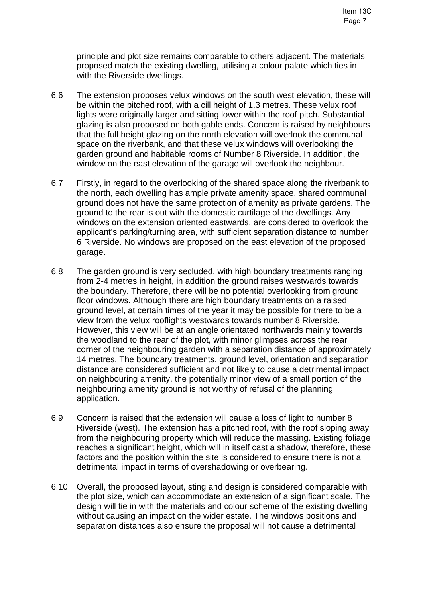principle and plot size remains comparable to others adjacent. The materials proposed match the existing dwelling, utilising a colour palate which ties in with the Riverside dwellings.

- 6.6 The extension proposes velux windows on the south west elevation, these will be within the pitched roof, with a cill height of 1.3 metres. These velux roof lights were originally larger and sitting lower within the roof pitch. Substantial glazing is also proposed on both gable ends. Concern is raised by neighbours that the full height glazing on the north elevation will overlook the communal space on the riverbank, and that these velux windows will overlooking the garden ground and habitable rooms of Number 8 Riverside. In addition, the window on the east elevation of the garage will overlook the neighbour.
- 6.7 Firstly, in regard to the overlooking of the shared space along the riverbank to the north, each dwelling has ample private amenity space, shared communal ground does not have the same protection of amenity as private gardens. The ground to the rear is out with the domestic curtilage of the dwellings. Any windows on the extension oriented eastwards, are considered to overlook the applicant's parking/turning area, with sufficient separation distance to number 6 Riverside. No windows are proposed on the east elevation of the proposed garage.
- 6.8 The garden ground is very secluded, with high boundary treatments ranging from 2-4 metres in height, in addition the ground raises westwards towards the boundary. Therefore, there will be no potential overlooking from ground floor windows. Although there are high boundary treatments on a raised ground level, at certain times of the year it may be possible for there to be a view from the velux rooflights westwards towards number 8 Riverside. However, this view will be at an angle orientated northwards mainly towards the woodland to the rear of the plot, with minor glimpses across the rear corner of the neighbouring garden with a separation distance of approximately 14 metres. The boundary treatments, ground level, orientation and separation distance are considered sufficient and not likely to cause a detrimental impact on neighbouring amenity, the potentially minor view of a small portion of the neighbouring amenity ground is not worthy of refusal of the planning application.
- 6.9 Concern is raised that the extension will cause a loss of light to number 8 Riverside (west). The extension has a pitched roof, with the roof sloping away from the neighbouring property which will reduce the massing. Existing foliage reaches a significant height, which will in itself cast a shadow, therefore, these factors and the position within the site is considered to ensure there is not a detrimental impact in terms of overshadowing or overbearing.
- 6.10 Overall, the proposed layout, sting and design is considered comparable with the plot size, which can accommodate an extension of a significant scale. The design will tie in with the materials and colour scheme of the existing dwelling without causing an impact on the wider estate. The windows positions and separation distances also ensure the proposal will not cause a detrimental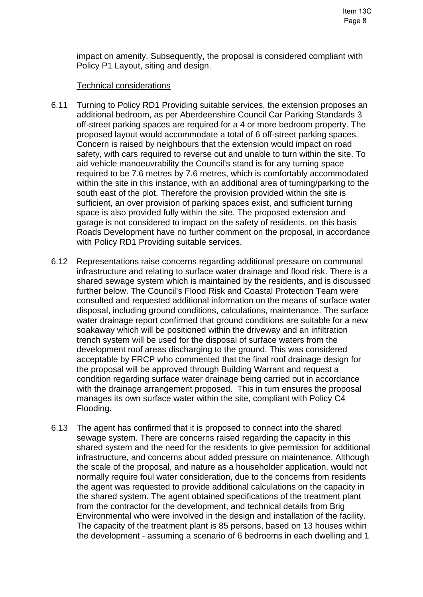impact on amenity. Subsequently, the proposal is considered compliant with Policy P1 Layout, siting and design.

### Technical considerations

- 6.11 Turning to Policy RD1 Providing suitable services, the extension proposes an additional bedroom, as per Aberdeenshire Council Car Parking Standards 3 off-street parking spaces are required for a 4 or more bedroom property. The proposed layout would accommodate a total of 6 off-street parking spaces. Concern is raised by neighbours that the extension would impact on road safety, with cars required to reverse out and unable to turn within the site. To aid vehicle manoeuvrability the Council's stand is for any turning space required to be 7.6 metres by 7.6 metres, which is comfortably accommodated within the site in this instance, with an additional area of turning/parking to the south east of the plot. Therefore the provision provided within the site is sufficient, an over provision of parking spaces exist, and sufficient turning space is also provided fully within the site. The proposed extension and garage is not considered to impact on the safety of residents, on this basis Roads Development have no further comment on the proposal, in accordance with Policy RD1 Providing suitable services.
- 6.12 Representations raise concerns regarding additional pressure on communal infrastructure and relating to surface water drainage and flood risk. There is a shared sewage system which is maintained by the residents, and is discussed further below. The Council's Flood Risk and Coastal Protection Team were consulted and requested additional information on the means of surface water disposal, including ground conditions, calculations, maintenance. The surface water drainage report confirmed that ground conditions are suitable for a new soakaway which will be positioned within the driveway and an infiltration trench system will be used for the disposal of surface waters from the development roof areas discharging to the ground. This was considered acceptable by FRCP who commented that the final roof drainage design for the proposal will be approved through Building Warrant and request a condition regarding surface water drainage being carried out in accordance with the drainage arrangement proposed. This in turn ensures the proposal manages its own surface water within the site, compliant with Policy C4 Flooding.
- 6.13 The agent has confirmed that it is proposed to connect into the shared sewage system. There are concerns raised regarding the capacity in this shared system and the need for the residents to give permission for additional infrastructure, and concerns about added pressure on maintenance. Although the scale of the proposal, and nature as a householder application, would not normally require foul water consideration, due to the concerns from residents the agent was requested to provide additional calculations on the capacity in the shared system. The agent obtained specifications of the treatment plant from the contractor for the development, and technical details from Brig Environmental who were involved in the design and installation of the facility. The capacity of the treatment plant is 85 persons, based on 13 houses within the development - assuming a scenario of 6 bedrooms in each dwelling and 1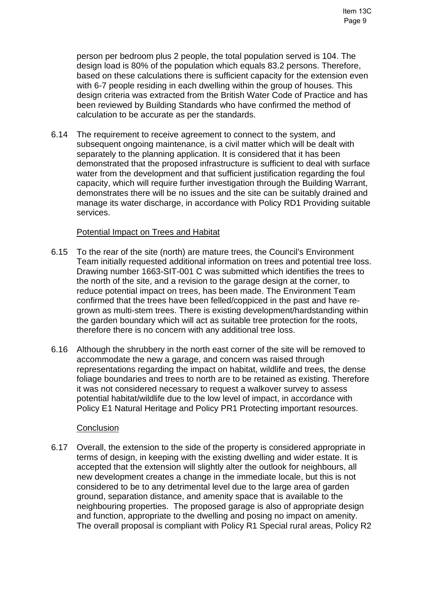person per bedroom plus 2 people, the total population served is 104. The design load is 80% of the population which equals 83.2 persons. Therefore, based on these calculations there is sufficient capacity for the extension even with 6-7 people residing in each dwelling within the group of houses. This design criteria was extracted from the British Water Code of Practice and has been reviewed by Building Standards who have confirmed the method of calculation to be accurate as per the standards.

6.14 The requirement to receive agreement to connect to the system, and subsequent ongoing maintenance, is a civil matter which will be dealt with separately to the planning application. It is considered that it has been demonstrated that the proposed infrastructure is sufficient to deal with surface water from the development and that sufficient justification regarding the foul capacity, which will require further investigation through the Building Warrant, demonstrates there will be no issues and the site can be suitably drained and manage its water discharge, in accordance with Policy RD1 Providing suitable services.

### Potential Impact on Trees and Habitat

- 6.15 To the rear of the site (north) are mature trees, the Council's Environment Team initially requested additional information on trees and potential tree loss. Drawing number 1663-SIT-001 C was submitted which identifies the trees to the north of the site, and a revision to the garage design at the corner, to reduce potential impact on trees, has been made. The Environment Team confirmed that the trees have been felled/coppiced in the past and have regrown as multi-stem trees. There is existing development/hardstanding within the garden boundary which will act as suitable tree protection for the roots, therefore there is no concern with any additional tree loss.
- 6.16 Although the shrubbery in the north east corner of the site will be removed to accommodate the new a garage, and concern was raised through representations regarding the impact on habitat, wildlife and trees, the dense foliage boundaries and trees to north are to be retained as existing. Therefore it was not considered necessary to request a walkover survey to assess potential habitat/wildlife due to the low level of impact, in accordance with Policy E1 Natural Heritage and Policy PR1 Protecting important resources.

#### **Conclusion**

6.17 Overall, the extension to the side of the property is considered appropriate in terms of design, in keeping with the existing dwelling and wider estate. It is accepted that the extension will slightly alter the outlook for neighbours, all new development creates a change in the immediate locale, but this is not considered to be to any detrimental level due to the large area of garden ground, separation distance, and amenity space that is available to the neighbouring properties. The proposed garage is also of appropriate design and function, appropriate to the dwelling and posing no impact on amenity. The overall proposal is compliant with Policy R1 Special rural areas, Policy R2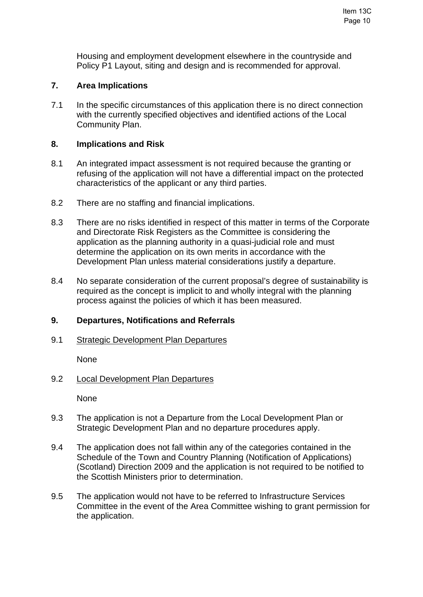Housing and employment development elsewhere in the countryside and Policy P1 Layout, siting and design and is recommended for approval.

## **7. Area Implications**

7.1 In the specific circumstances of this application there is no direct connection with the currently specified objectives and identified actions of the Local Community Plan.

#### **8. Implications and Risk**

- 8.1 An integrated impact assessment is not required because the granting or refusing of the application will not have a differential impact on the protected characteristics of the applicant or any third parties.
- 8.2 There are no staffing and financial implications.
- 8.3 There are no risks identified in respect of this matter in terms of the Corporate and Directorate Risk Registers as the Committee is considering the application as the planning authority in a quasi-judicial role and must determine the application on its own merits in accordance with the Development Plan unless material considerations justify a departure.
- 8.4 No separate consideration of the current proposal's degree of sustainability is required as the concept is implicit to and wholly integral with the planning process against the policies of which it has been measured.

## **9. Departures, Notifications and Referrals**

#### 9.1 Strategic Development Plan Departures

None

#### 9.2 Local Development Plan Departures

None

- 9.3 The application is not a Departure from the Local Development Plan or Strategic Development Plan and no departure procedures apply.
- 9.4 The application does not fall within any of the categories contained in the Schedule of the Town and Country Planning (Notification of Applications) (Scotland) Direction 2009 and the application is not required to be notified to the Scottish Ministers prior to determination.
- 9.5 The application would not have to be referred to Infrastructure Services Committee in the event of the Area Committee wishing to grant permission for the application.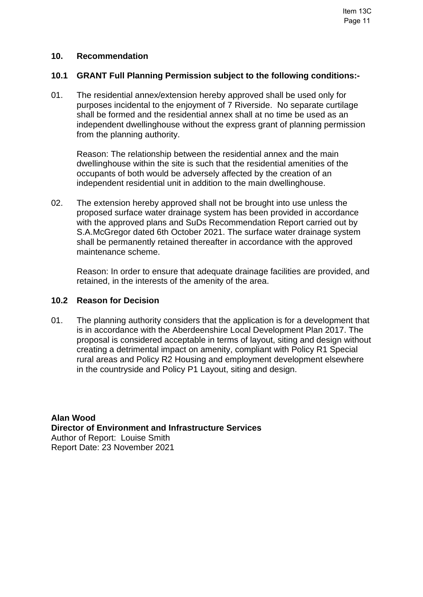#### **10. Recommendation**

#### **10.1 GRANT Full Planning Permission subject to the following conditions:-**

01. The residential annex/extension hereby approved shall be used only for purposes incidental to the enjoyment of 7 Riverside. No separate curtilage shall be formed and the residential annex shall at no time be used as an independent dwellinghouse without the express grant of planning permission from the planning authority.

 Reason: The relationship between the residential annex and the main dwellinghouse within the site is such that the residential amenities of the occupants of both would be adversely affected by the creation of an independent residential unit in addition to the main dwellinghouse.

02. The extension hereby approved shall not be brought into use unless the proposed surface water drainage system has been provided in accordance with the approved plans and SuDs Recommendation Report carried out by S.A.McGregor dated 6th October 2021. The surface water drainage system shall be permanently retained thereafter in accordance with the approved maintenance scheme.

 Reason: In order to ensure that adequate drainage facilities are provided, and retained, in the interests of the amenity of the area.

#### **10.2 Reason for Decision**

01. The planning authority considers that the application is for a development that is in accordance with the Aberdeenshire Local Development Plan 2017. The proposal is considered acceptable in terms of layout, siting and design without creating a detrimental impact on amenity, compliant with Policy R1 Special rural areas and Policy R2 Housing and employment development elsewhere in the countryside and Policy P1 Layout, siting and design.

**Alan Wood Director of Environment and Infrastructure Services**  Author of Report: Louise Smith Report Date: 23 November 2021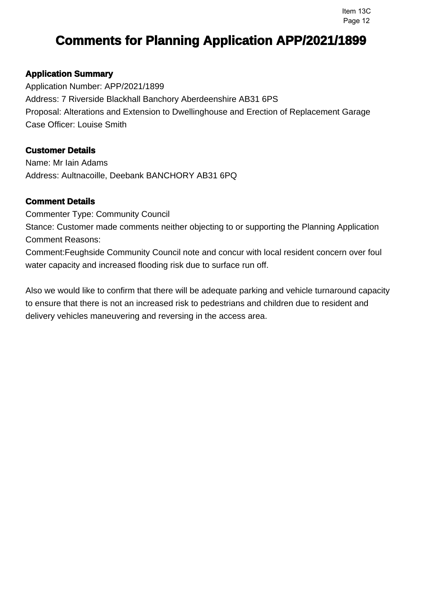## **Application Summary**

Application Number: APP/2021/1899 Address: 7 Riverside Blackhall Banchory Aberdeenshire AB31 6PS Proposal: Alterations and Extension to Dwellinghouse and Erection of Replacement Garage Case Officer: Louise Smith

## **Customer Details**

Name: Mr Iain Adams Address: Aultnacoille, Deebank BANCHORY AB31 6PQ

## **Comment Details**

Commenter Type: Community Council

Stance: Customer made comments neither objecting to or supporting the Planning Application Comment Reasons:

Comment:Feughside Community Council note and concur with local resident concern over foul water capacity and increased flooding risk due to surface run off.

Also we would like to confirm that there will be adequate parking and vehicle turnaround capacity to ensure that there is not an increased risk to pedestrians and children due to resident and delivery vehicles maneuvering and reversing in the access area.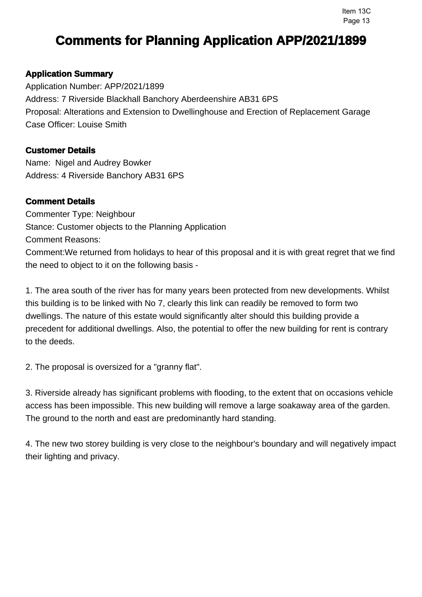## **Application Summary**

Application Number: APP/2021/1899 Address: 7 Riverside Blackhall Banchory Aberdeenshire AB31 6PS Proposal: Alterations and Extension to Dwellinghouse and Erection of Replacement Garage Case Officer: Louise Smith

## **Customer Details**

Name: Nigel and Audrey Bowker Address: 4 Riverside Banchory AB31 6PS

## **Comment Details**

Commenter Type: Neighbour Stance: Customer objects to the Planning Application Comment Reasons: Comment:We returned from holidays to hear of this proposal and it is with great regret that we find the need to object to it on the following basis -

1. The area south of the river has for many years been protected from new developments. Whilst this building is to be linked with No 7, clearly this link can readily be removed to form two dwellings. The nature of this estate would significantly alter should this building provide a precedent for additional dwellings. Also, the potential to offer the new building for rent is contrary to the deeds.

2. The proposal is oversized for a "granny flat".

3. Riverside already has significant problems with flooding, to the extent that on occasions vehicle access has been impossible. This new building will remove a large soakaway area of the garden. The ground to the north and east are predominantly hard standing.

4. The new two storey building is very close to the neighbour's boundary and will negatively impact their lighting and privacy.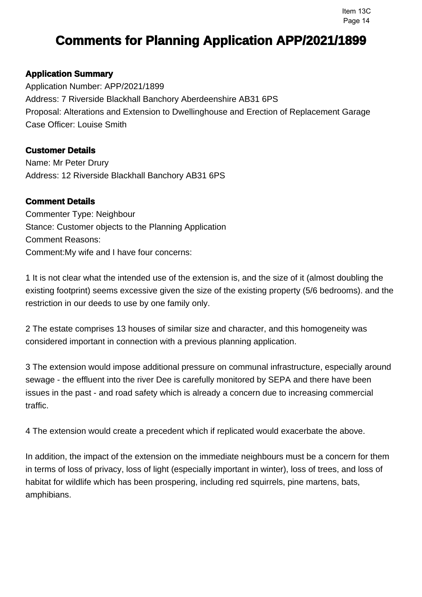## **Application Summary**

Application Number: APP/2021/1899 Address: 7 Riverside Blackhall Banchory Aberdeenshire AB31 6PS Proposal: Alterations and Extension to Dwellinghouse and Erection of Replacement Garage Case Officer: Louise Smith

## **Customer Details**

Name: Mr Peter Drury Address: 12 Riverside Blackhall Banchory AB31 6PS

### **Comment Details**

Commenter Type: Neighbour Stance: Customer objects to the Planning Application Comment Reasons: Comment:My wife and I have four concerns:

1 It is not clear what the intended use of the extension is, and the size of it (almost doubling the existing footprint) seems excessive given the size of the existing property (5/6 bedrooms). and the restriction in our deeds to use by one family only.

2 The estate comprises 13 houses of similar size and character, and this homogeneity was considered important in connection with a previous planning application.

3 The extension would impose additional pressure on communal infrastructure, especially around sewage - the effluent into the river Dee is carefully monitored by SEPA and there have been issues in the past - and road safety which is already a concern due to increasing commercial traffic.

4 The extension would create a precedent which if replicated would exacerbate the above.

In addition, the impact of the extension on the immediate neighbours must be a concern for them in terms of loss of privacy, loss of light (especially important in winter), loss of trees, and loss of habitat for wildlife which has been prospering, including red squirrels, pine martens, bats, amphibians.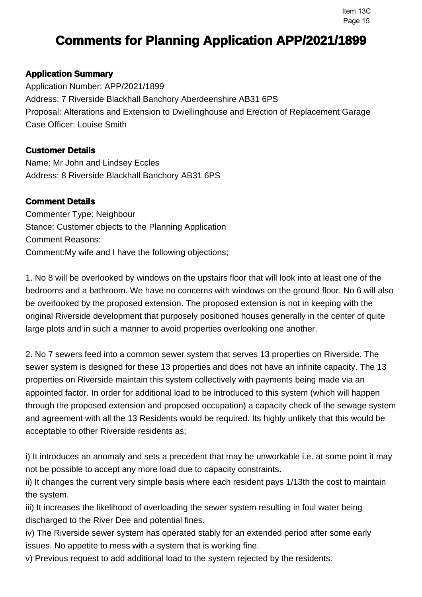## **Application Summary**

Application Number: APP/2021/1899 Address: 7 Riverside Blackhall Banchory Aberdeenshire AB31 6PS Proposal: Alterations and Extension to Dwellinghouse and Erection of Replacement Garage Case Officer: Louise Smith

## **Customer Details**

Name: Mr John and Lindsey Eccles Address: 8 Riverside Blackhall Banchory AB31 6PS

## **Comment Details**

Commenter Type: Neighbour Stance: Customer objects to the Planning Application Comment Reasons: Comment:My wife and I have the following objections;

1. No 8 will be overlooked by windows on the upstairs floor that will look into at least one of the bedrooms and a bathroom. We have no concerns with windows on the ground floor. No 6 will also be overlooked by the proposed extension. The proposed extension is not in keeping with the original Riverside development that purposely positioned houses generally in the center of quite large plots and in such a manner to avoid properties overlooking one another.

2. No 7 sewers feed into a common sewer system that serves 13 properties on Riverside. The sewer system is designed for these 13 properties and does not have an infinite capacity. The 13 properties on Riverside maintain this system collectively with payments being made via an appointed factor. In order for additional load to be introduced to this system (which will happen through the proposed extension and proposed occupation) a capacity check of the sewage system and agreement with all the 13 Residents would be required. Its highly unlikely that this would be acceptable to other Riverside residents as;

i) It introduces an anomaly and sets a precedent that may be unworkable i.e. at some point it may not be possible to accept any more load due to capacity constraints.

ii) It changes the current very simple basis where each resident pays 1/13th the cost to maintain the system.

iii) It increases the likelihood of overloading the sewer system resulting in foul water being discharged to the River Dee and potential fines.

iv) The Riverside sewer system has operated stably for an extended period after some early issues. No appetite to mess with a system that is working fine.

v) Previous request to add additional load to the system rejected by the residents.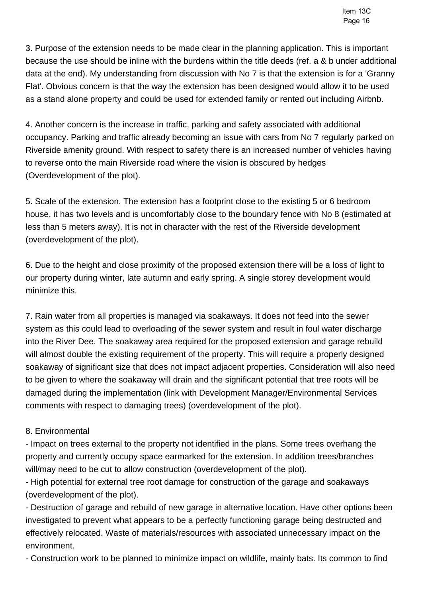3. Purpose of the extension needs to be made clear in the planning application. This is important because the use should be inline with the burdens within the title deeds (ref. a & b under additional data at the end). My understanding from discussion with No 7 is that the extension is for a 'Granny Flat'. Obvious concern is that the way the extension has been designed would allow it to be used as a stand alone property and could be used for extended family or rented out including Airbnb.

4. Another concern is the increase in traffic, parking and safety associated with additional occupancy. Parking and traffic already becoming an issue with cars from No 7 regularly parked on Riverside amenity ground. With respect to safety there is an increased number of vehicles having to reverse onto the main Riverside road where the vision is obscured by hedges (Overdevelopment of the plot).

5. Scale of the extension. The extension has a footprint close to the existing 5 or 6 bedroom house, it has two levels and is uncomfortably close to the boundary fence with No 8 (estimated at less than 5 meters away). It is not in character with the rest of the Riverside development (overdevelopment of the plot).

6. Due to the height and close proximity of the proposed extension there will be a loss of light to our property during winter, late autumn and early spring. A single storey development would minimize this.

7. Rain water from all properties is managed via soakaways. It does not feed into the sewer system as this could lead to overloading of the sewer system and result in foul water discharge into the River Dee. The soakaway area required for the proposed extension and garage rebuild will almost double the existing requirement of the property. This will require a properly designed soakaway of significant size that does not impact adjacent properties. Consideration will also need to be given to where the soakaway will drain and the significant potential that tree roots will be damaged during the implementation (link with Development Manager/Environmental Services comments with respect to damaging trees) (overdevelopment of the plot).

## 8. Environmental

- Impact on trees external to the property not identified in the plans. Some trees overhang the property and currently occupy space earmarked for the extension. In addition trees/branches will/may need to be cut to allow construction (overdevelopment of the plot).

- High potential for external tree root damage for construction of the garage and soakaways (overdevelopment of the plot).

- Destruction of garage and rebuild of new garage in alternative location. Have other options been investigated to prevent what appears to be a perfectly functioning garage being destructed and effectively relocated. Waste of materials/resources with associated unnecessary impact on the environment.

- Construction work to be planned to minimize impact on wildlife, mainly bats. Its common to find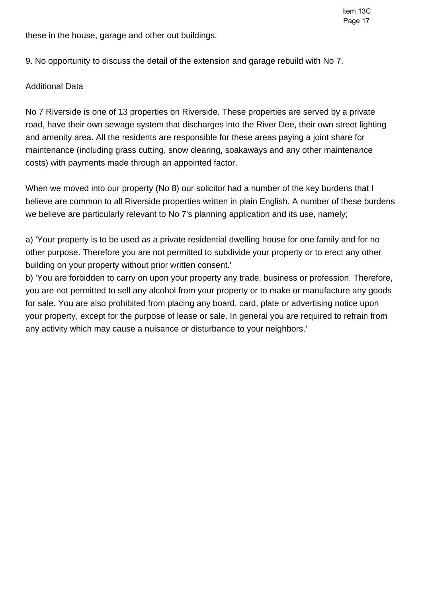these in the house, garage and other out buildings.

9. No opportunity to discuss the detail of the extension and garage rebuild with No 7.

## Additional Data

No 7 Riverside is one of 13 properties on Riverside. These properties are served by a private road, have their own sewage system that discharges into the River Dee, their own street lighting and amenity area. All the residents are responsible for these areas paying a joint share for maintenance (including grass cutting, snow clearing, soakaways and any other maintenance costs) with payments made through an appointed factor.

When we moved into our property (No 8) our solicitor had a number of the key burdens that I believe are common to all Riverside properties written in plain English. A number of these burdens we believe are particularly relevant to No 7's planning application and its use, namely;

a) 'Your property is to be used as a private residential dwelling house for one family and for no other purpose. Therefore you are not permitted to subdivide your property or to erect any other building on your property without prior written consent.'

b) 'You are forbidden to carry on upon your property any trade, business or profession. Therefore, you are not permitted to sell any alcohol from your property or to make or manufacture any goods for sale. You are also prohibited from placing any board, card, plate or advertising notice upon your property, except for the purpose of lease or sale. In general you are required to refrain from any activity which may cause a nuisance or disturbance to your neighbors.'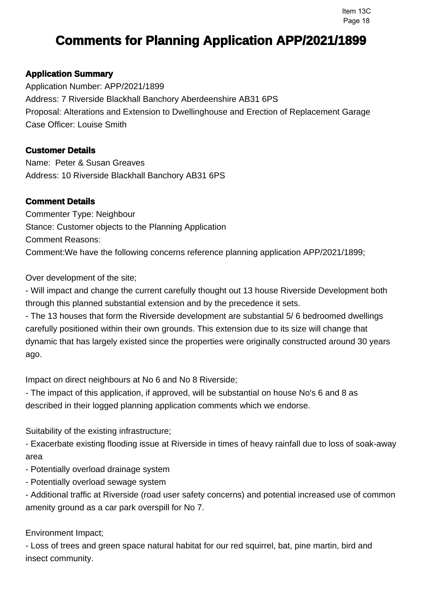# **Application Summary**

Application Number: APP/2021/1899 Address: 7 Riverside Blackhall Banchory Aberdeenshire AB31 6PS Proposal: Alterations and Extension to Dwellinghouse and Erection of Replacement Garage Case Officer: Louise Smith

## **Customer Details**

Name: Peter & Susan Greaves Address: 10 Riverside Blackhall Banchory AB31 6PS

## **Comment Details**

Commenter Type: Neighbour Stance: Customer objects to the Planning Application Comment Reasons: Comment:We have the following concerns reference planning application APP/2021/1899;

Over development of the site;

- Will impact and change the current carefully thought out 13 house Riverside Development both through this planned substantial extension and by the precedence it sets.

- The 13 houses that form the Riverside development are substantial 5/ 6 bedroomed dwellings carefully positioned within their own grounds. This extension due to its size will change that dynamic that has largely existed since the properties were originally constructed around 30 years ago.

Impact on direct neighbours at No 6 and No 8 Riverside;

- The impact of this application, if approved, will be substantial on house No's 6 and 8 as described in their logged planning application comments which we endorse.

Suitability of the existing infrastructure;

- Exacerbate existing flooding issue at Riverside in times of heavy rainfall due to loss of soak-away area

- Potentially overload drainage system
- Potentially overload sewage system

- Additional traffic at Riverside (road user safety concerns) and potential increased use of common amenity ground as a car park overspill for No 7.

Environment Impact;

- Loss of trees and green space natural habitat for our red squirrel, bat, pine martin, bird and insect community.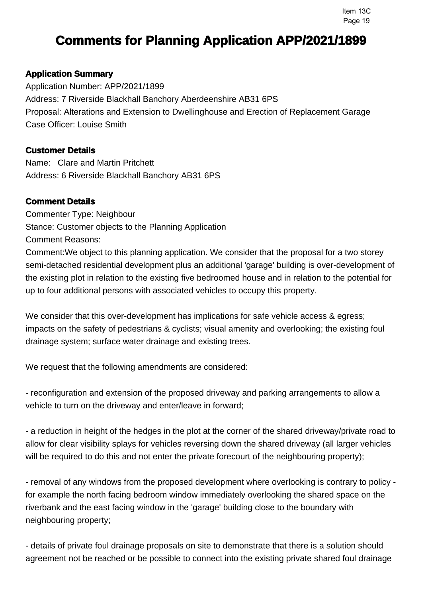## **Application Summary**

Application Number: APP/2021/1899 Address: 7 Riverside Blackhall Banchory Aberdeenshire AB31 6PS Proposal: Alterations and Extension to Dwellinghouse and Erection of Replacement Garage Case Officer: Louise Smith

## **Customer Details**

Name: Clare and Martin Pritchett Address: 6 Riverside Blackhall Banchory AB31 6PS

## **Comment Details**

Commenter Type: Neighbour Stance: Customer objects to the Planning Application Comment Reasons:

Comment:We object to this planning application. We consider that the proposal for a two storey semi-detached residential development plus an additional 'garage' building is over-development of the existing plot in relation to the existing five bedroomed house and in relation to the potential for up to four additional persons with associated vehicles to occupy this property.

We consider that this over-development has implications for safe vehicle access & egress; impacts on the safety of pedestrians & cyclists; visual amenity and overlooking; the existing foul drainage system; surface water drainage and existing trees.

We request that the following amendments are considered:

- reconfiguration and extension of the proposed driveway and parking arrangements to allow a vehicle to turn on the driveway and enter/leave in forward;

- a reduction in height of the hedges in the plot at the corner of the shared driveway/private road to allow for clear visibility splays for vehicles reversing down the shared driveway (all larger vehicles will be required to do this and not enter the private forecourt of the neighbouring property);

- removal of any windows from the proposed development where overlooking is contrary to policy for example the north facing bedroom window immediately overlooking the shared space on the riverbank and the east facing window in the 'garage' building close to the boundary with neighbouring property;

- details of private foul drainage proposals on site to demonstrate that there is a solution should agreement not be reached or be possible to connect into the existing private shared foul drainage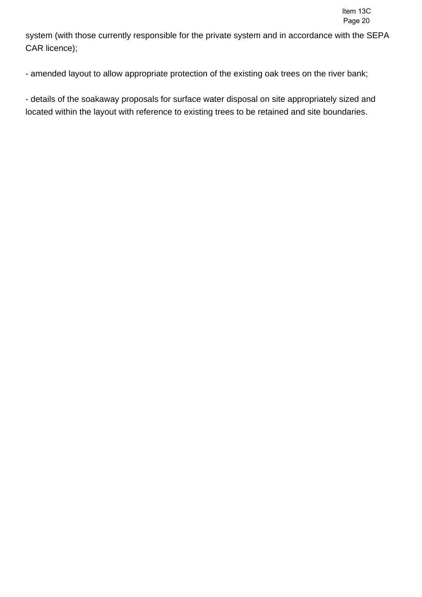system (with those currently responsible for the private system and in accordance with the SEPA CAR licence);

- amended layout to allow appropriate protection of the existing oak trees on the river bank;

- details of the soakaway proposals for surface water disposal on site appropriately sized and located within the layout with reference to existing trees to be retained and site boundaries.